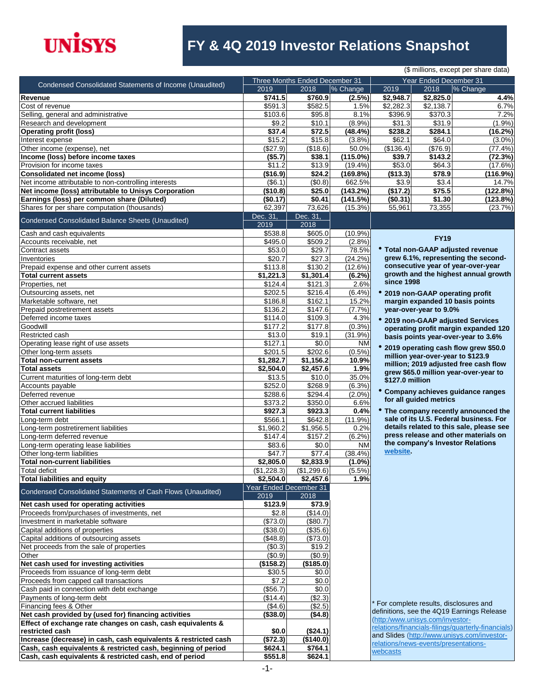

### **FY & 4Q 2019 Investor Relations Snapshot**

|                                                                 |                    |                                |             |                                         |                                   | (\$ millions, except per share data)               |
|-----------------------------------------------------------------|--------------------|--------------------------------|-------------|-----------------------------------------|-----------------------------------|----------------------------------------------------|
|                                                                 |                    | Three Months Ended December 31 |             |                                         | Year Ended December 31            |                                                    |
| Condensed Consolidated Statements of Income (Unaudited)         | 2019               | 2018                           | % Change    | 2019                                    | 2018                              | % Change                                           |
| Revenue                                                         | \$741.5            | \$760.9                        | $(2.5\%)$   | \$2,948.7                               | \$2,825.0                         | 4.4%                                               |
| Cost of revenue                                                 | \$591.3            | \$582.5                        | 1.5%        | \$2,282.3                               | \$2,138.7                         | 6.7%                                               |
| Selling, general and administrative                             | \$103.6            | \$95.8                         | 8.1%        | \$396.9                                 | \$370.3                           | 7.2%                                               |
| Research and development                                        | \$9.2              | \$10.1                         | (8.9%)      | \$31.3                                  | \$31.9                            | (1.9%                                              |
| <b>Operating profit (loss)</b>                                  | \$37.4             | \$72.5                         | (48.4%)     | \$238.2                                 | \$284.1                           | (16.2%)                                            |
|                                                                 |                    |                                |             |                                         |                                   |                                                    |
| Interest expense                                                | \$15.2             | \$15.8                         | (3.8%)      | \$62.1                                  | \$64.0                            | $(3.0\%)$                                          |
| Other income (expense), net                                     | (\$27.9)           | (\$18.6)                       | 50.0%       | (\$136.4)                               | (\$76.9)                          | $(77.4\%)$                                         |
| Income (loss) before income taxes                               | (\$5.7)            | \$38.1                         | $(115.0\%)$ | \$39.7                                  | \$143.2                           | (72.3%)                                            |
| Provision for income taxes                                      | \$11.2             | \$13.9                         | $(19.4\%)$  | \$53.0                                  | \$64.3                            | (17.6%)                                            |
| Consolidated net income (loss)                                  | (\$16.9)           | \$24.2                         | (169.8%)    | (\$13.3)                                | \$78.9                            | (116.9%)                                           |
| Net income attributable to non-controlling interests            | (\$6.1)            | (\$0.8)                        | 662.5%      | \$3.9                                   | \$3.4                             | 14.7%                                              |
| Net income (loss) attributable to Unisys Corporation            | (\$10.8)           | \$25.0                         | (143.2%)    | (\$17.2)                                | \$75.5                            | (122.8%)                                           |
| Earnings (loss) per common share (Diluted)                      | (\$0.17)           | \$0.41                         | (141.5%)    | (\$0.31)                                | \$1.30                            | (123.8%)                                           |
| Shares for per share computation (thousands)                    | 62,397             | 73,626                         | (15.3%)     | 55,961                                  | 73,355                            | (23.7%)                                            |
|                                                                 | Dec. 31,           | Dec. 31,                       |             |                                         |                                   |                                                    |
| Condensed Consolidated Balance Sheets (Unaudited)               | 2019               | 2018                           |             |                                         |                                   |                                                    |
| Cash and cash equivalents                                       | \$538.8            | \$605.0                        | $(10.9\%)$  |                                         |                                   |                                                    |
| Accounts receivable, net                                        | \$495.0            | \$509.2                        |             |                                         | <b>FY19</b>                       |                                                    |
|                                                                 |                    |                                | (2.8%)      |                                         |                                   |                                                    |
| Contract assets                                                 | \$53.0             | \$29.7                         | 78.5%       |                                         |                                   | • Total non-GAAP adjusted revenue                  |
| Inventories                                                     | \$20.7             | \$27.3                         | (24.2%)     |                                         |                                   | grew 6.1%, representing the second-                |
| Prepaid expense and other current assets                        | \$113.8            | \$130.2                        | (12.6%)     |                                         |                                   | consecutive year of year-over-year                 |
| <b>Total current assets</b>                                     | \$1,221.3          | \$1,301.4                      | (6.2%)      |                                         |                                   | growth and the highest annual growth               |
| Properties, net                                                 | \$124.4            | \$121.3                        | 2.6%        | since 1998                              |                                   |                                                    |
| Outsourcing assets, net                                         | \$202.5            | \$216.4                        | (6.4%)      |                                         | • 2019 non-GAAP operating profit  |                                                    |
| Marketable software, net                                        | \$186.8            | \$162.1                        | 15.2%       |                                         | margin expanded 10 basis points   |                                                    |
| Prepaid postretirement assets                                   | \$136.2            | \$147.6                        | (7.7%)      |                                         | year-over-year to 9.0%            |                                                    |
| Deferred income taxes                                           | \$114.0            | \$109.3                        | 4.3%        |                                         |                                   |                                                    |
| Goodwill                                                        | \$177.2            | \$177.8                        | (0.3% )     |                                         |                                   | • 2019 non-GAAP adjusted Services                  |
| Restricted cash                                                 | \$13.0             | \$19.1                         | (31.9%)     |                                         |                                   | operating profit margin expanded 120               |
|                                                                 |                    |                                |             |                                         |                                   | basis points year-over-year to 3.6%                |
| Operating lease right of use assets                             | \$127.1            | \$0.0                          | <b>NM</b>   |                                         |                                   | * 2019 operating cash flow grew \$50.0             |
| Other long-term assets                                          | \$201.5            | \$202.6                        | $(0.5\%)$   |                                         | million year-over-year to \$123.9 |                                                    |
| Total non-current assets                                        | \$1,282.7          | \$1,156.2                      | 10.9%       |                                         |                                   | million; 2019 adjusted free cash flow              |
| <b>Total assets</b>                                             | \$2,504.0          | \$2,457.6                      | 1.9%        |                                         |                                   | grew \$65.0 million year-over-year to              |
| Current maturities of long-term debt                            | $\overline{$}13.5$ | \$10.0                         | 35.0%       | \$127.0 million                         |                                   |                                                    |
| Accounts payable                                                | \$252.0            | \$268.9                        | $(6.3\%)$   |                                         |                                   |                                                    |
| Deferred revenue                                                | \$288.6            | \$294.4                        | $(2.0\%)$   |                                         |                                   | Company achieves guidance ranges                   |
| Other accrued liabilities                                       | \$373.2            | \$350.0                        | 6.6%        |                                         | for all guided metrics            |                                                    |
| <b>Total current liabilities</b>                                | \$927.3            | \$923.3                        | 0.4%        |                                         |                                   | • The company recently announced the               |
| Long-term debt                                                  | \$566.1            | \$642.8                        | $(11.9\%)$  |                                         |                                   | sale of its U.S. Federal business. For             |
| Long-term postretirement liabilities                            | \$1,960.2          | \$1,956.5                      | 0.2%        |                                         |                                   | details related to this sale, please see           |
| Long-term deferred revenue                                      | \$147.4            | \$157.2                        | $(6.2\%)$   |                                         |                                   | press release and other materials on               |
| Long-term operating lease liabilities                           | \$83.6             | \$0.0                          | <b>NM</b>   |                                         |                                   | the company's Investor Relations                   |
|                                                                 |                    |                                |             | website.                                |                                   |                                                    |
| Other long-term liabilities                                     | \$47.7             | \$77.4                         | $(38.4\%)$  |                                         |                                   |                                                    |
| <b>Total non-current liabilities</b>                            | \$2,805.0          | \$2,833.9                      | $(1.0\%)$   |                                         |                                   |                                                    |
| Total deficit                                                   | (\$1,228.3)        | (\$1,299.6)                    | $(5.5\%)$   |                                         |                                   |                                                    |
| Total liabilities and equity                                    | \$2,504.0          | \$2,457.6                      | 1.9%        |                                         |                                   |                                                    |
| Condensed Consolidated Statements of Cash Flows (Unaudited)     |                    | Year Ended December 31         |             |                                         |                                   |                                                    |
|                                                                 | 2019               | 2018                           |             |                                         |                                   |                                                    |
| Net cash used for operating activities                          | \$123.9            | \$73.9                         |             |                                         |                                   |                                                    |
| Proceeds from/purchases of investments, net                     | \$2.8              | (\$14.0)                       |             |                                         |                                   |                                                    |
| Investment in marketable software                               | (\$73.0)           | (\$80.7)                       |             |                                         |                                   |                                                    |
| Capital additions of properties                                 | (\$38.0)           | (\$35.6)                       |             |                                         |                                   |                                                    |
| Capital additions of outsourcing assets                         | (\$48.8)           | (\$73.0)                       |             |                                         |                                   |                                                    |
| Net proceeds from the sale of properties                        | (\$0.3)            | \$19.2                         |             |                                         |                                   |                                                    |
|                                                                 |                    |                                |             |                                         |                                   |                                                    |
| Other                                                           | (\$0.9)            | (\$0.9)                        |             |                                         |                                   |                                                    |
| Net cash used for investing activities                          | (\$158.2)          | (\$185.0)                      |             |                                         |                                   |                                                    |
| Proceeds from issuance of long-term debt                        | \$30.5             | \$0.0                          |             |                                         |                                   |                                                    |
| Proceeds from capped call transactions                          | \$7.2              | \$0.0                          |             |                                         |                                   |                                                    |
| Cash paid in connection with debt exchange                      | (\$56.7)           | \$0.0                          |             |                                         |                                   |                                                    |
| Payments of long-term debt                                      | (\$14.4)           | (\$2.3)                        |             |                                         |                                   |                                                    |
| Financing fees & Other                                          | (\$4.6)            | (\$2.5)                        |             | * For complete results, disclosures and |                                   |                                                    |
| Net cash provided by (used for) financing activities            | (\$38.0)           | (\$4.8)                        |             |                                         |                                   | definitions, see the 4Q19 Earnings Release         |
| Effect of exchange rate changes on cash, cash equivalents &     |                    |                                |             | (http:/www.unisys.com/investor-         |                                   |                                                    |
| restricted cash                                                 | \$0.0              | (\$24.1)                       |             |                                         |                                   | relations/financials-filings/quarterly-financials) |
| Increase (decrease) in cash, cash equivalents & restricted cash | (\$72.3)           | (\$140.0)                      |             |                                         |                                   | and Slides (http://www.unisys.com/investor-        |
| Cash, cash equivalents & restricted cash, beginning of period   | \$624.1            | \$764.1                        |             | relations/news-events/presentations-    |                                   |                                                    |
| Cash, cash equivalents & restricted cash, end of period         | \$551.8            | \$624.1                        |             | webcasts                                |                                   |                                                    |
|                                                                 |                    |                                |             |                                         |                                   |                                                    |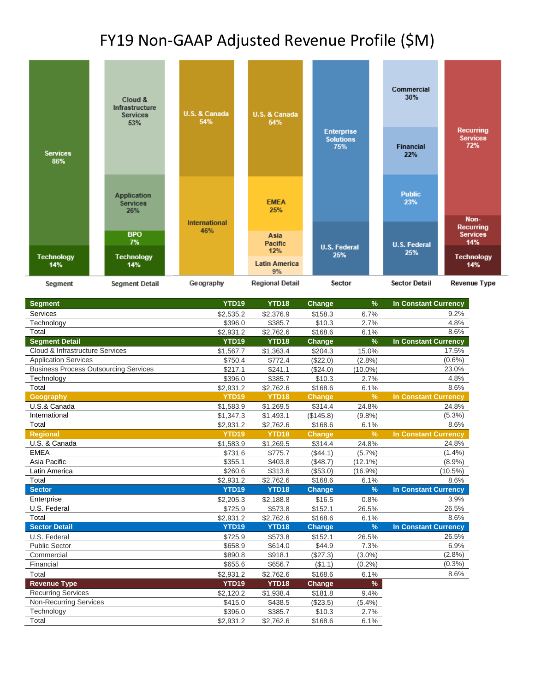## FY19 Non-GAAP Adjusted Revenue Profile (\$M)

|                          | Cloud &<br>Infrastructure<br><b>U.S. &amp; Canada</b><br>U.S. & Canada<br><b>Services</b><br>54%<br>54%<br>53% |                             |                                               | Commercial<br>30%                            |                            |                                                    |
|--------------------------|----------------------------------------------------------------------------------------------------------------|-----------------------------|-----------------------------------------------|----------------------------------------------|----------------------------|----------------------------------------------------|
| <b>Services</b><br>86%   |                                                                                                                |                             |                                               | <b>Enterprise</b><br><b>Solutions</b><br>75% | <b>Financial</b><br>22%    | <b>Recurring</b><br><b>Services</b><br>72%         |
|                          | <b>Application</b><br><b>Services</b><br>26%                                                                   |                             | <b>EMEA</b><br>25%                            |                                              | <b>Public</b><br>23%       |                                                    |
|                          | <b>BPO</b><br>7%                                                                                               | <b>International</b><br>46% | Asia                                          |                                              |                            | Non-<br><b>Recurring</b><br><b>Services</b><br>14% |
| <b>Technology</b><br>14% | <b>Technology</b><br>14%                                                                                       |                             | <b>Pacific</b><br>12%<br><b>Latin America</b> | <b>U.S. Federal</b><br>25%                   | <b>U.S. Federal</b><br>25% | <b>Technology</b><br>14%                           |
| Segment                  | <b>Segment Detail</b>                                                                                          | Geography                   | 9%<br><b>Regional Detail</b>                  | Sector                                       | Sector Detail              | Revenue Type                                       |

| <b>Segment</b>                               | <b>YTD19</b> | YTD18             | Change        | $\%$          | <b>In Constant Currency</b> |
|----------------------------------------------|--------------|-------------------|---------------|---------------|-----------------------------|
| Services                                     | \$2,535.2    | \$2,376.9         | \$158.3       | 6.7%          | 9.2%                        |
| Technology                                   | \$396.0      | \$385.7           | \$10.3        | 2.7%          | 4.8%                        |
| Total                                        | \$2,931.2    | \$2,762.6         | \$168.6       | 6.1%          | 8.6%                        |
| <b>Segment Detail</b>                        | <b>YTD19</b> | YTD18             | Change        | $\%$          | In Constant Currency        |
| Cloud & Infrastructure Services              | \$1,567.7    | \$1,363.4         | \$204.3       | 15.0%         | 17.5%                       |
| <b>Application Services</b>                  | \$750.4      | \$772.4           | (\$22.0)      | (2.8%)        | $(0.6\%)$                   |
| <b>Business Process Outsourcing Services</b> | \$217.1      | \$241.1           | (S24.0)       | $(10.0\%)$    | 23.0%                       |
| Technology                                   | \$396.0      | \$385.7           | \$10.3        | 2.7%          | 4.8%                        |
| Total                                        | \$2,931.2    | \$2,762.6         | \$168.6       | 6.1%          | 8.6%                        |
| Geography                                    | <b>YTD19</b> | YTD <sub>18</sub> | <b>Change</b> | $\frac{9}{6}$ | <b>In Constant Currency</b> |
| U.S.& Canada                                 | \$1,583.9    | \$1,269.5         | \$314.4       | 24.8%         | 24.8%                       |
| International                                | \$1,347.3    | \$1,493.1         | (\$145.8)     | (9.8%         | $(5.3\%)$                   |
| Total                                        | \$2,931.2    | \$2,762.6         | \$168.6       | 6.1%          | 8.6%                        |
| <b>Regional</b>                              | <b>YTD19</b> | <b>YTD18</b>      | Change        | $\frac{9}{6}$ | <b>In Constant Currency</b> |
| U.S. & Canada                                | \$1,583.9    | \$1,269.5         | \$314.4       | 24.8%         | 24.8%                       |
| <b>EMEA</b>                                  | \$731.6      | \$775.7           | (\$44.1)      | (5.7%)        | (1.4% )                     |
| Asia Pacific                                 | \$355.1      | \$403.8           | (\$48.7)      | $(12.1\%)$    | $(8.9\%)$                   |
| Latin America                                | \$260.6      | \$313.6           | (\$53.0)      | $(16.9\%)$    | $(10.5\%)$                  |
| Total                                        | \$2,931.2    | \$2,762.6         | \$168.6       | 6.1%          | 8.6%                        |
| <b>Sector</b>                                | <b>YTD19</b> | <b>YTD18</b>      | <b>Change</b> | $\frac{9}{6}$ | <b>In Constant Currency</b> |
| Enterprise                                   | \$2,205.3    | \$2,188.8         | \$16.5        | 0.8%          | 3.9%                        |
| U.S. Federal                                 | \$725.9      | \$573.8           | \$152.1       | 26.5%         | 26.5%                       |
| Total                                        | \$2,931.2    | \$2,762.6         | \$168.6       | 6.1%          | 8.6%                        |
| <b>Sector Detail</b>                         | <b>YTD19</b> | YTD18             | <b>Change</b> | $\frac{9}{6}$ | <b>In Constant Currency</b> |
| U.S. Federal                                 | \$725.9      | \$573.8           | \$152.1       | 26.5%         | 26.5%                       |
| <b>Public Sector</b>                         | \$658.9      | \$614.0           | \$44.9        | 7.3%          | 6.9%                        |
| Commercial                                   | \$890.8      | \$918.1           | (\$27.3)      | $(3.0\%)$     | (2.8%)                      |
| Financial                                    | \$655.6      | \$656.7           | (\$1.1)       | (0.2%)        | $(0.3\%)$                   |
| Total                                        | \$2,931.2    | \$2,762.6         | \$168.6       | 6.1%          | 8.6%                        |
| <b>Revenue Type</b>                          | <b>YTD19</b> | YTD18             | Change        | %             |                             |
| <b>Recurring Services</b>                    | \$2,120.2    | \$1,938.4         | \$181.8       | 9.4%          |                             |
| <b>Non-Recurring Services</b>                | \$415.0      | \$438.5           | (\$23.5)      | (5.4%)        |                             |
| Technology                                   | \$396.0      | \$385.7           | \$10.3        | 2.7%          |                             |
| Total                                        | \$2,931.2    | \$2,762.6         | \$168.6       | 6.1%          |                             |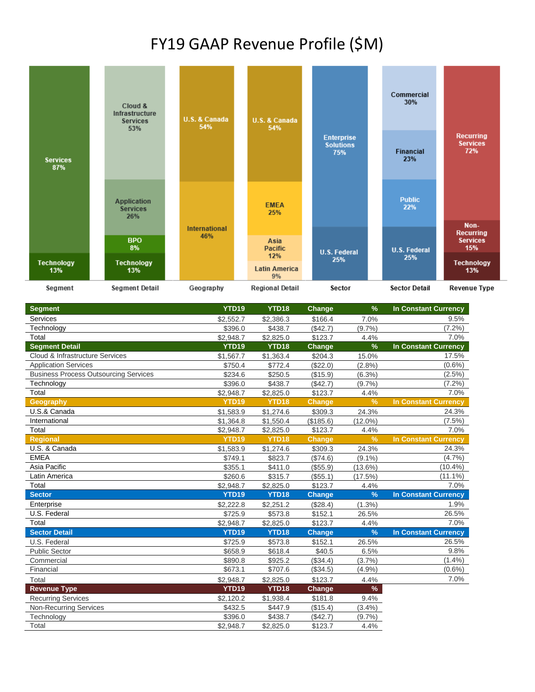#### FY19 GAAP Revenue Profile (\$M)



| <b>Segment</b>                               | <b>YTD19</b>      | YTD18             | Change        | $\frac{9}{6}$ | <b>In Constant Currency</b> |
|----------------------------------------------|-------------------|-------------------|---------------|---------------|-----------------------------|
| Services                                     | \$2,552.7         | \$2,386.3         | \$166.4       | 7.0%          | 9.5%                        |
| Technology                                   | \$396.0           | \$438.7           | (\$42.7)      | (9.7%         | $(7.2\%)$                   |
| Total                                        | \$2,948.7         | \$2,825.0         | \$123.7       | 4.4%          | 7.0%                        |
| <b>Segment Detail</b>                        | YTD19             | YTD18             | Change        | $\frac{9}{6}$ | <b>In Constant Currency</b> |
| Cloud & Infrastructure Services              | \$1,567.7         | \$1,363.4         | \$204.3       | 15.0%         | 17.5%                       |
| <b>Application Services</b>                  | \$750.4           | \$772.4           | (\$22.0)      | (2.8%         | $(0.6\%)$                   |
| <b>Business Process Outsourcing Services</b> | \$234.6           | \$250.5           | (\$15.9)      | (6.3%)        | $(2.5\%)$                   |
| Technology                                   | \$396.0           | \$438.7           | (\$42.7)      | (9.7%         | $(7.2\%)$                   |
| Total                                        | \$2,948.7         | \$2,825.0         | \$123.7       | 4.4%          | 7.0%                        |
| Geography                                    | <b>YTD19</b>      | <b>YTD18</b>      | <b>Change</b> | $\frac{9}{6}$ | <b>In Constant Currency</b> |
| U.S.& Canada                                 | \$1,583.9         | \$1,274.6         | \$309.3       | 24.3%         | 24.3%                       |
| International                                | \$1,364.8         | \$1,550.4         | (\$185.6)     | $(12.0\%)$    | $(7.5\%)$                   |
| Total                                        | \$2,948.7         | \$2,825.0         | \$123.7       | 4.4%          | 7.0%                        |
| <b>Regional</b>                              | YTD <sub>19</sub> | YTD <sub>18</sub> | <b>Change</b> | $\frac{9}{6}$ | <b>In Constant Currency</b> |
| U.S. & Canada                                | \$1,583.9         | \$1,274.6         | \$309.3       | 24.3%         | 24.3%                       |
| <b>EMEA</b>                                  | \$749.1           | \$823.7           | (\$74.6)      | $(9.1\%)$     | (4.7%)                      |
| Asia Pacific                                 | \$355.1           | \$411.0           | (\$55.9)      | $(13.6\%)$    | $(10.4\%)$                  |
| Latin America                                | \$260.6           | \$315.7           | (\$55.1)      | (17.5%)       | $(11.1\%)$                  |
| Total                                        | \$2,948.7         | \$2,825.0         | \$123.7       | 4.4%          | 7.0%                        |
| <b>Sector</b>                                | YTD19             | <b>YTD18</b>      | <b>Change</b> | $\frac{9}{6}$ | <b>In Constant Currency</b> |
| Enterprise                                   | \$2,222.8         | \$2,251.2         | (\$28.4)      | $(1.3\%)$     | 1.9%                        |
| U.S. Federal                                 | \$725.9           | \$573.8           | \$152.1       | 26.5%         | 26.5%                       |
| Total                                        | \$2,948.7         | \$2,825.0         | \$123.7       | 4.4%          | 7.0%                        |
| <b>Sector Detail</b>                         | YTD <sub>19</sub> | YTD18             | Change        | $\frac{9}{6}$ | <b>In Constant Currency</b> |
| U.S. Federal                                 | \$725.9           | \$573.8           | \$152.1       | 26.5%         | 26.5%                       |
| <b>Public Sector</b>                         | \$658.9           | \$618.4           | \$40.5        | 6.5%          | 9.8%                        |
| Commercial                                   | \$890.8           | \$925.2           | (\$34.4)      | (3.7%)        | (1.4%)                      |
| Financial                                    | \$673.1           | \$707.6           | (\$34.5)      | (4.9%         | $(0.6\%)$                   |
| Total                                        | \$2,948.7         | \$2,825.0         | \$123.7       | 4.4%          | 7.0%                        |
| <b>Revenue Type</b>                          | <b>YTD19</b>      | YTD18             | <b>Change</b> | $\%$          |                             |
| <b>Recurring Services</b>                    | \$2,120.2         | \$1,938.4         | \$181.8       | 9.4%          |                             |
| <b>Non-Recurring Services</b>                | \$432.5           | \$447.9           | (\$15.4)      | (3.4%)        |                             |
| Technology                                   | \$396.0           | \$438.7           | (\$42.7)      | (9.7%         |                             |
| Total                                        | \$2,948.7         | \$2,825.0         | \$123.7       | 4.4%          |                             |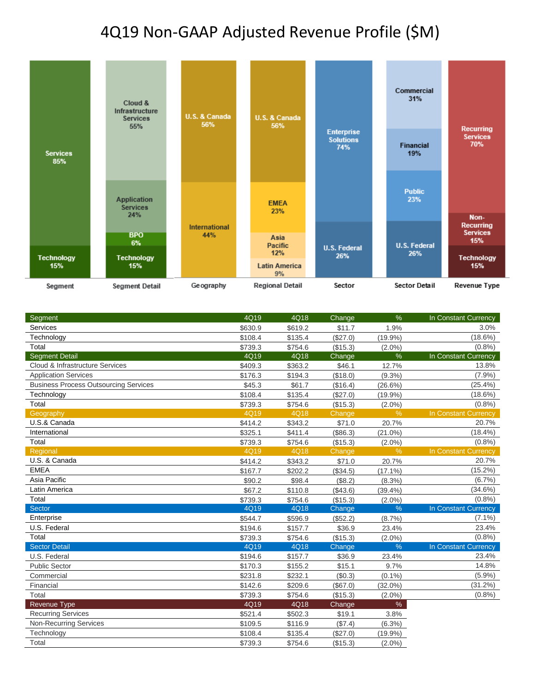## 4Q19 Non-GAAP Adjusted Revenue Profile (\$M)



| Segment                                      | 4Q19    | 4Q18    | Change   | %             | In Constant Currency |
|----------------------------------------------|---------|---------|----------|---------------|----------------------|
| Services                                     | \$630.9 | \$619.2 | \$11.7   | 1.9%          | 3.0%                 |
| Technology                                   | \$108.4 | \$135.4 | (\$27.0) | $(19.9\%)$    | $(18.6\%)$           |
| Total                                        | \$739.3 | \$754.6 | (\$15.3) | $(2.0\%)$     | (0.8% )              |
| <b>Segment Detail</b>                        | 4Q19    | 4Q18    | Change   | $\%$          | In Constant Currency |
| Cloud & Infrastructure Services              | \$409.3 | \$363.2 | \$46.1   | 12.7%         | 13.8%                |
| <b>Application Services</b>                  | \$176.3 | \$194.3 | (\$18.0) | $(9.3\%)$     | (7.9%)               |
| <b>Business Process Outsourcing Services</b> | \$45.3  | \$61.7  | (\$16.4) | $(26.6\%)$    | $(25.4\%)$           |
| Technology                                   | \$108.4 | \$135.4 | (\$27.0) | $(19.9\%)$    | $(18.6\%)$           |
| Total                                        | \$739.3 | \$754.6 | (\$15.3) | $(2.0\%)$     | (0.8% )              |
| Geography                                    | 4Q19    | 4Q18    | Change   | $\frac{9}{6}$ | In Constant Currency |
| U.S.& Canada                                 | \$414.2 | \$343.2 | \$71.0   | 20.7%         | 20.7%                |
| International                                | \$325.1 | \$411.4 | (\$86.3) | $(21.0\%)$    | $(18.4\%)$           |
| Total                                        | \$739.3 | \$754.6 | (\$15.3) | $(2.0\%)$     | (0.8% )              |
| Regional                                     | 4Q19    | 4Q18    | Change   | $\frac{9}{6}$ | In Constant Currency |
| U.S. & Canada                                | \$414.2 | \$343.2 | \$71.0   | 20.7%         | 20.7%                |
| <b>EMEA</b>                                  | \$167.7 | \$202.2 | (\$34.5) | $(17.1\%)$    | $(15.2\%)$           |
| Asia Pacific                                 | \$90.2  | \$98.4  | (\$8.2)  | $(8.3\%)$     | (6.7%)               |
| Latin America                                | \$67.2  | \$110.8 | (\$43.6) | (39.4%)       | (34.6%)              |
| Total                                        | \$739.3 | \$754.6 | (\$15.3) | $(2.0\%)$     | (0.8% )              |
| <b>Sector</b>                                | 4Q19    | 4Q18    | Change   | $\frac{9}{6}$ | In Constant Currency |
| Enterprise                                   | \$544.7 | \$596.9 | (\$52.2) | (8.7%)        | $(7.1\%)$            |
| U.S. Federal                                 | \$194.6 | \$157.7 | \$36.9   | 23.4%         | 23.4%                |
| Total                                        | \$739.3 | \$754.6 | (\$15.3) | $(2.0\%)$     | (0.8% )              |
| <b>Sector Detail</b>                         | 4Q19    | 4Q18    | Change   | $\frac{9}{6}$ | In Constant Currency |
| U.S. Federal                                 | \$194.6 | \$157.7 | \$36.9   | 23.4%         | 23.4%                |
| <b>Public Sector</b>                         | \$170.3 | \$155.2 | \$15.1   | 9.7%          | 14.8%                |
| Commercial                                   | \$231.8 | \$232.1 | (\$0.3)  | $(0.1\%)$     | (5.9%)               |
| Financial                                    | \$142.6 | \$209.6 | (\$67.0) | $(32.0\%)$    | (31.2%)              |
| Total                                        | \$739.3 | \$754.6 | (\$15.3) | $(2.0\%)$     | (0.8%                |
| Revenue Type                                 | 4Q19    | 4Q18    | Change   | $\%$          |                      |
| <b>Recurring Services</b>                    | \$521.4 | \$502.3 | \$19.1   | 3.8%          |                      |
| <b>Non-Recurring Services</b>                | \$109.5 | \$116.9 | (\$7.4)  | $(6.3\%)$     |                      |
| Technology                                   | \$108.4 | \$135.4 | (\$27.0) | $(19.9\%)$    |                      |
| Total                                        | \$739.3 | \$754.6 | (\$15.3) | $(2.0\%)$     |                      |